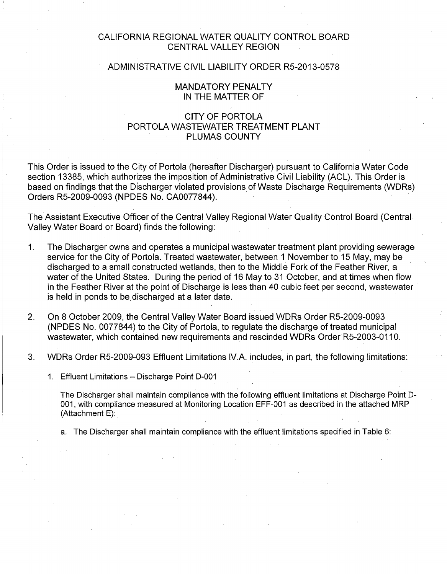## CALIFORNIA REGIONAL WATER QUALITY CONTROL BOARD CENTRAL VALLEY REGION

### ADMINISTRATIVE CIVIL LIABILITY ORDER R5-2013-0578

### MANDATORY PENALTY IN THE MATTER OF

## CITY OF PORTOLA PORTOLA WASTEWATER TREATMENT PLANT PLUMAS COUNTY

This Order is issued to the City of Portola (hereafter Discharger) pursuant to California Water Code section 13385, which authorizes the imposition of Administrative Civil Liability (ACL). This Order is based on findings that the Discharger violated provisions of Waste Discharge Requirements (WDRs) Orders R5-2009-0093 (NPDES No. CA0077844).

The Assistant Executive Officer of the Central Valley Regional Water Quality Control Board (Central Valley Water Board or Board) finds the following:

- 1. The Discharger owns and operates a municipal wastewater treatment plant providing sewerage service for the City of Portola. Treated wastewater, between 1 November to 15 May, may be discharged to a small constructed wetlands, then to the Middle Fork of the Feather River, a water of the United States. During the period of 16 May to 31 October, and at times when flow in the Feather River at the point of Discharge is less than 40 cubic feet per second, wastewater is held in ponds to be, discharged at a later date.
- 2. On 8 October 2009, the Central Valley Water Board issued WDRs Order R5-2009-0093 (NPDES No. 0077844) to the City of Portola, to regulate the discharge of treated municipal wastewater, which contained new requirements and rescinded WDRs Order R5-2003-0110.
- 3. WDRs Order R5-2009-093 Effluent Limitations IV.A. includes, in part, the following limitations:
	- 1. Effluent Limitations Discharge Point D-001

The Discharger shall maintain compliance with the following effluent limitations at Discharge Point D-001, with compliance measured at Monitoring Location EFF-001 as described in the attached MRP (Attachment E):

a. The Discharger shall maintain compliance with the effluent limitations specified in Table 6: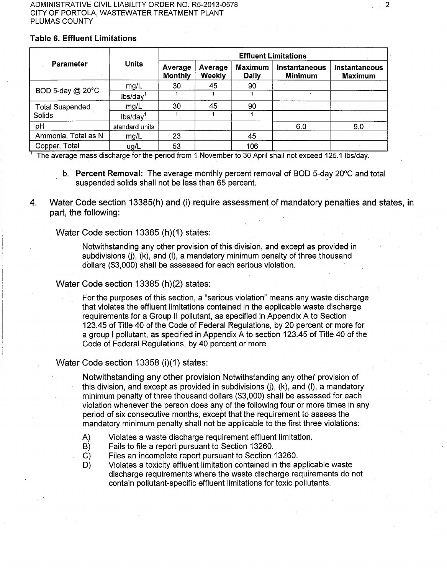#### ADMINISTRATIVE CIVIL LIABILITY ORDER NO. RS-2013-0578 CITY OF PORTOLA, WASTEWATER TREATMENT PLANT PLUMAS COUNTY

### Table 6. Effluent Limitations

|                        |                      | <b>Effluent Limitations</b> |                          |                                |                                 |                                        |  |  |  |
|------------------------|----------------------|-----------------------------|--------------------------|--------------------------------|---------------------------------|----------------------------------------|--|--|--|
| <b>Parameter</b>       | <b>Units</b>         | Average<br><b>Monthly</b>   | Average<br><b>Weekly</b> | <b>Maximum</b><br><b>Daily</b> | Instantaneous<br><b>Minimum</b> | <b>Instantaneous</b><br><b>Maximum</b> |  |  |  |
|                        | mg/L                 | 30                          | 45                       | 90                             |                                 |                                        |  |  |  |
| BOD 5-day @ 20°C       | lbs/day <sup>1</sup> |                             |                          |                                |                                 |                                        |  |  |  |
| <b>Total Suspended</b> | mg/L                 | 30                          | 45                       | 90                             |                                 |                                        |  |  |  |
| Solids                 | Ibs/day              |                             |                          |                                |                                 |                                        |  |  |  |
| pH                     | standard units       |                             |                          |                                | 6.0                             | 9.0                                    |  |  |  |
| Ammonia, Total as N    | mg/L                 | 23                          |                          | 45                             |                                 |                                        |  |  |  |
| Copper, Total          | ug/L                 | 53                          |                          | 106                            |                                 |                                        |  |  |  |

The average mass discharge for the period from 1 November to 30 April shall not exceed 125.1 lbs/day.

- b. Percent Removal: The average monthly percent removal of BOD 5-day 20°C and total suspended solids shall not be less than 65 percent.
- 4. Water Code section 13385(h) and (i) require assessment of mandatory penalties and states, in part, the following:

Water Code section 13385 (h)(1) states:

Notwithstanding any other provision of this division, and except as provided in subdivisions  $(i)$ ,  $(k)$ , and  $(l)$ , a mandatory minimum penalty of three thousand dollars (\$3,000) shall be assessed for each serious violation.

#### Water Code section 13385 (h)(2) states:

For the purposes of this section, a "serious violation" means any waste discharge that violates the effluent limitations contained in the applicable waste discharge requirements for a Group II pollutant, as specified in Appendix A to Section 123.45 of Title 40 of the Code of Federal Regulations, by 20 percent or more for a group I pollutant, as specified ih Appendix A to section 123.45 of Title 40 of the Code of Federal Regulations, by 40 percent or more.

#### Water Code section 13358 (i)(1) states:

Notwithstanding any other provision Notwithstanding any other provision of this division, and except as provided in subdivisions  $(i)$ ,  $(k)$ , and  $(l)$ , a mandatory minimum penalty of three thousand dollars (\$3,000) shall be assessed for each violation whenever the person does any of the following four or more times in any period of six consecutive months, except that the requirement to assess the mandatory minimum penalty shall not be applicable to the first three violations:

- A) Violates a waste discharge requirement effluent limitation.
- B) Fails to file a report pursuant to Section 13260.
- C) Files an incomplete report pursuant to Section 13260.
- D) Violates a toxicity effluent limitation contained in the applicable waste discharge requirements where the waste discharge requirements do not contain pollutant-specific effluent limitations for toxic pollutants.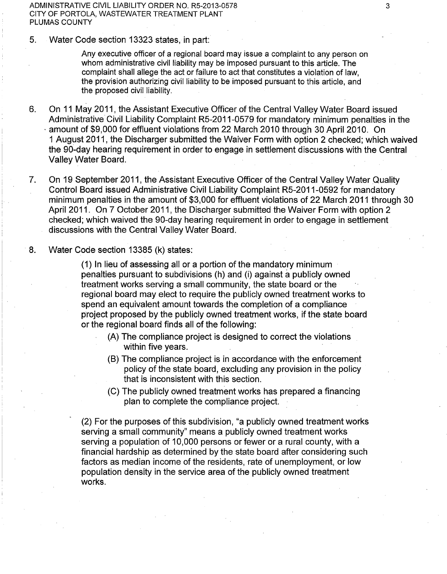ADMINISTRATIVE CIVIL LIABILITY ORDER NO. RS-2013-0578 CITY OF PORTOLA, WASTEWATER TREATMENT PLANT PLUMAS COUNTY

5. Water Code section 13323 states, in part:

Any executive officer of a regional board may issue a complaint to any person on whom administrative civil liability may be imposed pursuant to this article. The complaint shall allege the act or failure to act that constitutes a violation of law, the provision authorizing civil liability to be imposed pursuant to this article, and the proposed civil liability.

- 6. On 11 May 2011, the Assistant Executive Officer of the Central Valley Water Board issued Administrative Civil Liability Complaint R5-2011-0579 for mandatory minimum penalties in the · amount of \$9,000 for effluent violations from 22 March 2010 through 30 April 2010. On 1 August 2011, the Discharger submitted the Waiver Form with option 2 checked; which waived the 90-day hearing requirement in order to engage in settlement discussions with the Central Valley Water Board.
- 7. On 19 September 2011, the Assistant Executive Officer of the Central Valley Water Quality Control Board issued Administrative Civil Liability Complaint R5-2011-0592 for mandatory minimum penalties in the amount of \$3,000 for effluent violations of 22 March 2011 through 30 April 2011. On 7 October 2011, the Discharger submitted the Waiver Form with option 2 checked; which waived the 90-day hearing requirement in order to engage in settlement discussions with the Central Valley Water Board.
- 8. Water Code section 13385 (k) states:

(1) In lieu of assessing all or a portion of the mandatory minimum penalties pursuant to subdivisions (h) and (i) against a publicly owned treatment works serving a small community, the state board or the regional board may elect to require the publicly owned treatment works to spend an equivalent amount towards the completion of a compliance project proposed by the publicly owned treatment works, if the state board or the regional board finds all of the following:

- (A) The compliance project is designed to correct the violations within five years.
- (B) The compliance project is in accordance with the enforcement policy of the state board, excluding any provision in the policy that is inconsistent with this section.
- (C) The publicly owned treatment works has prepared a financing plan to complete the compliance project.

(2) For the purposes of this subdivision, "a publicly owned treatment works serving a small community" means a publicly owned treatment works serving a population of 10,000 persons or fewer or a rural county, with a financial hardship as determined by the state board after considering such factors as median income of the residents, rate of unemployment, or low population density in the service area of the publicly owned treatment works.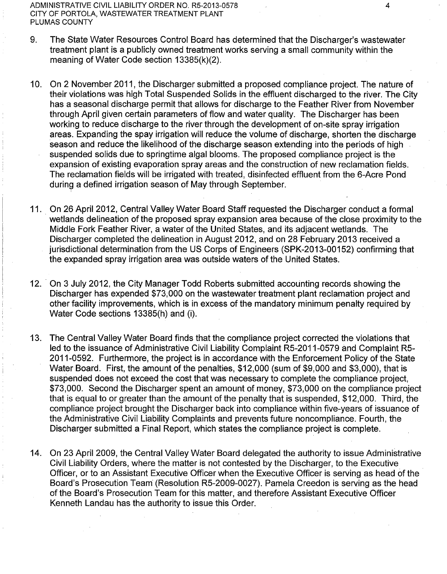ADMINISTRATIVE CIVIL LIABILITY ORDER NO. RS-2013-0578 CITY OF PORTOLA, WASTEWATER TREATMENT PLANT PLUMAS COUNTY

- 9. The State Water Resources Control Board has determined that the Discharger's wastewater treatment plant is a publicly owned treatment works serving a small community within the meaning of Water Code section 13385(k)(2).
- 10. On 2 November 2011, the Discharger submitted a proposed compliance project. The nature of their violations was high Total Suspended Solids in the effluent discharged to the river. The City has a seasonal discharge permit that allows for discharge to the Feather River from November through April given certain parameters of flow and water quality. The Discharger has been working to reduce discharge to the river through the development of on-site spray irrigation areas. Expanding the spay irrigation will reduce the volume of discharge, shorten the discharge season and reduce the likelihood of the discharge season extending into the periods of high suspended solids due to springtime algal blooms. The proposed compliance project is the expansion of existing evaporation spray areas and the construction of new reclamation fields. The reclamation fields will be irrigated with treated, disinfected effluent from the 6-Acre Pond during a defined irrigation season of May through September.
- 11. On 26 April 2012, Central Valley Water Board Staff requested the Discharger conduct a formal wetlands delineation of the proposed spray expansion area because of the close proximity to the Middle Fork Feather River, a water of the United States, and its adjacent wetlands. The Discharger completed the delineation in August 2012, and on 28 February 2013 received a jurisdictional determination from the US Corps of Engineers (SPK-2013-00152) confirming that the expanded spray irrigation area was outside waters of the United States.
- 12. On 3 July 2012, the City Manager Todd Roberts submitted accounting records showing the Discharger has expended \$73;000 on the wastewater treatment plant reclamation project and other facility improvements, which is in excess of the mandatory minimum penalty required by Water Code sections 13385(h) and (i).
- 13. The Central Valley Water Board finds that the compliance project corrected the violations that led to the issuance of Administrative Civil Liability Complaint R5-2011-0579 and Complaint R5- 2011-0592. Furthermore, the project is in accordance with the Enforcement Policy of the State Water Board. First, the amount of the penalties, \$12,000 (sum of \$9,000 and \$3,000), that is suspended does not exceed the cost that was necessary to complete the compliance project, \$73,000. Second the Discharger spent an amount of money, \$73,000 on the compliance project that is equal to or greater than the amount of the penalty that is suspended, \$12,000. Third, the compliance project brought the Discharger back into compliance within five-years of issuance of the Administrative Civil Liability Complaints and prevents future noncompliance. Fourth, the Discharger submitted a Final Report, which states the compliance project is complete.
- 14. On 23 April 2009, the Central Valley Water Board delegated the authority to issue Administrative Civil Liability Orders, where the matter is not contested by the Discharger, to the Executive Officer, or to an Assistant Executive Officer when the Executive Officer is serving as head of the Board's Prosecution Team (Resolution R5-2009-0027). Pamela Creedon is serving as the head of the Board's Prosecution Team for this matter, and therefore Assistant Executive Officer Kenneth Landau has the authority to issue this Order.

4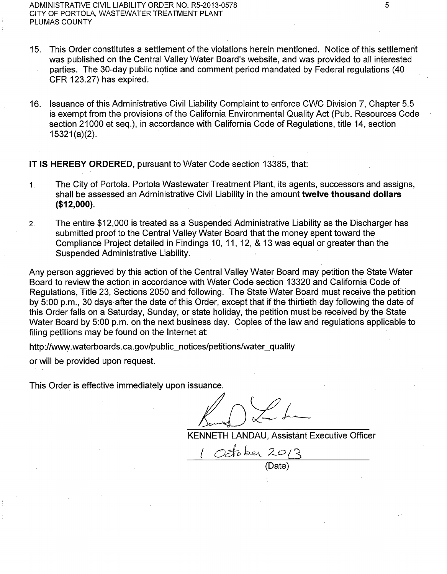- 15. This Order constitutes a settlement of the violations herein mentioned. Notice of this settlement was published on the Central Valley Water Board's website, and was provided to all interested
- parties. The 30-day public notice and comment period mandated by Federal regulations (40 CFR 123.27) has expired.
- 16. Issuance of this Administrative Civil Liability Complaint to enforce CWC Division 7, Chapter 5.5 is exempt from the provisions of the California Environmental Quality Act (Pub. Resources Code section 21000 et seq.), in accordance with California Code of Regulations, title 14, section  $15321(a)(2)$ .

**IT IS HEREBY ORDERED, pursuant to Water Code section 13385, that:** 

- 1. The City of Portola. Portola Wastewater Treatment Plant, its agents, successors and assigns, shall be assessed an Administrative Civil Liability in the amount **twelve thousand dollars (\$12,000).**
- 2. The entire \$12,000 is treated as a Suspended Administrative Liability as the Discharger has submitted proof to the Central Valley Water Board that the money spent toward the Compliance Project detailed in Findings 10, 11, 12, & 13 was equal or greater than the Suspended Administrative Liability.

Any person aggrieved by this action of the Central Valley Water Board may petition the State Water Board to review the action in accordance with Water Code section 13320 and California Code of Regulations, Title 23, Sections 2050 and following. The State Water Board must receive the petition by 5:00 p.m., 30 days after the date of this Order, except that if the thirtieth day following the date of this Order falls on a Saturday, Sunday, or state holiday, the petition must be received by the State Water Board by 5:00 p.m. on the next business day. Copies of the law and regulations applicable to filing petitions may be found on the Internet at:

http://www.waterboards.ca.gov/public\_notices/petitions/water\_quality

or will be provided upon request.

This Order is effective immediately upon issuance.

 $K_{i,j}$  )  $\swarrow$  for

KENNETH LANDAU, Assistant Executive Officer

I *uc:f-o* h.cq *z.o G*  (Date)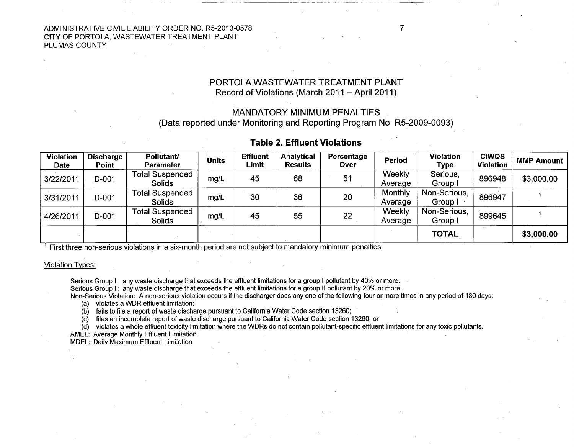ADMINISTRATIVE CIVIL LIABILITY ORDER NO. R5-2013-0578 CITY OF PORTOLA, WASTEWATER TREATMENT PLANT PLUMAS COUNTY

### PORTOLA WASTEWATER TREATMENT PLANT Record of Violations (March 2011 - April 2011)

--- ------· - -~-~-

## MANDATORY MINIMUM PENALTIES

(Data reported under Monitoring and Reporting Program No. RS-2009-0093)

## Table 2. Effluent Violations

| <b>Violation</b><br><b>Date</b> | <b>Discharge</b><br><b>Point</b> | <b>Pollutant/</b><br><b>Parameter</b> | Units | <b>Effluent</b><br>Limit | <b>Analytical</b><br>Results | Percentage<br>Over | Period             | <b>Violation</b><br>Type | <b>CIWQS</b><br><b>Violation</b> | <b>MMP Amount</b> |
|---------------------------------|----------------------------------|---------------------------------------|-------|--------------------------|------------------------------|--------------------|--------------------|--------------------------|----------------------------------|-------------------|
| 3/22/2011                       | D-001                            | Total Suspended<br>Solids             | mg/L  | 45                       | 68                           | 51                 | Weekly<br>Average  | Serious,<br>Group I      | 896948                           | \$3,000.00        |
| 3/31/2011                       | D-001                            | Total Suspended<br>Solids             | mg/L  | 30                       | 36                           | 20                 | Monthly<br>Average | Non-Serious,<br>Group I  | 896947                           |                   |
| 4/26/2011                       | D-001                            | <b>Total Suspended</b><br>Solids      | mg/L  | 45                       | 55                           | 22                 | Weekly<br>Average  | Non-Serious,<br>Group I  | 899645                           |                   |
|                                 |                                  |                                       |       |                          |                              |                    |                    | <b>TOTAL</b>             |                                  | \$3,000.00        |

 $<sup>1</sup>$  First three non-serious violations in a six-month period are not subject to mandatory minimum penalties.</sup>

#### Violation Types:

Serious Group I: any waste discharge that exceeds the effluent limitations for a group I pollutant by 40% or more.

Serious Group II: any waste discharge that exceeds the effluent limitations for a group II pollutant by 20% or more.

Non-Serious Violation: A non-serious violation occurs if the discharger does any one of the following four or more times in any period of 180 days: (a) violates a WDR effluent limitation;

(b) fails to file a report of waste discharge pursuant to California Water Code section 13260;

(c) files an incomplete report of waste discharge pursuant to· California Water Code section 13260; or

(d) violates a whole effluent toxicity limitation where the WDRs do not contain pollutant-specific effluent limitations for any toxic pollutants.

AMEL: Average Monthly Effluent Limitation

MDEL: Daily Maximum Effluent Limitation